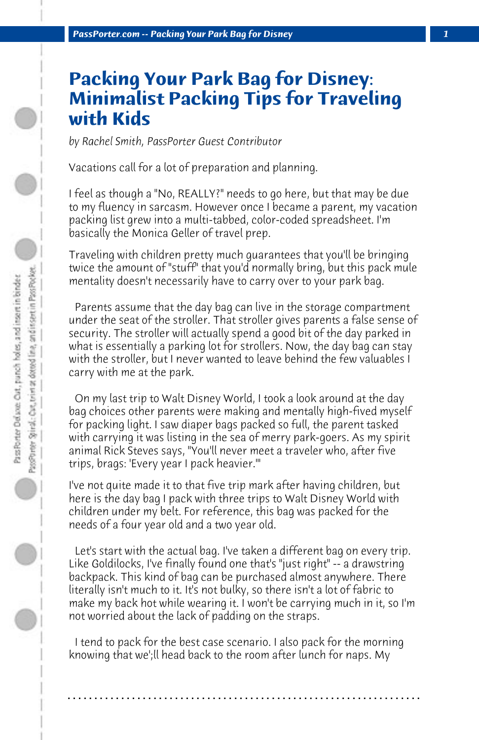# **Packing Your Park Bag for Disney: Minimalist Packing Tips for Traveling with Kids**

*by Rachel Smith, PassPorter Guest Contributor*

Vacations call for a lot of preparation and planning.

I feel as though a "No, REALLY?" needs to go here, but that may be due to my fluency in sarcasm. However once I became a parent, my vacation packing list grew into a multi-tabbed, color-coded spreadsheet. I'm basically the Monica Geller of travel prep.

Traveling with children pretty much guarantees that you'll be bringing twice the amount of "stuff" that you'd normally bring, but this pack mule mentality doesn't necessarily have to carry over to your park bag.

 Parents assume that the day bag can live in the storage compartment under the seat of the stroller. That stroller gives parents a false sense of security. The stroller will actually spend a good bit of the day parked in what is essentially a parking lot for strollers. Now, the day bag can stay with the stroller, but I never wanted to leave behind the few valuables I carry with me at the park.

 On my last trip to Walt Disney World, I took a look around at the day bag choices other parents were making and mentally high-fived myself for packing light. I saw diaper bags packed so full, the parent tasked with carrying it was listing in the sea of merry park-goers. As my spirit animal Rick Steves says, "You'll never meet a traveler who, after five trips, brags: 'Every year I pack heavier.'"

I've not quite made it to that five trip mark after having children, but here is the day bag I pack with three trips to Walt Disney World with children under my belt. For reference, this bag was packed for the needs of a four year old and a two year old.

 Let's start with the actual bag. I've taken a different bag on every trip. Like Goldilocks, I've finally found one that's "just right" -- a drawstring backpack. This kind of bag can be purchased almost anywhere. There literally isn't much to it. It's not bulky, so there isn't a lot of fabric to make my back hot while wearing it. I won't be carrying much in it, so I'm not worried about the lack of padding on the straps.

 I tend to pack for the best case scenario. I also pack for the morning knowing that we';ll head back to the room after lunch for naps. My

**. . . . . . . . . . . . . . . . . . . . . . . . . . . . . . . . . . . . . . . . . . . . . . . . . . . . . . . . . . . . . . . . . .**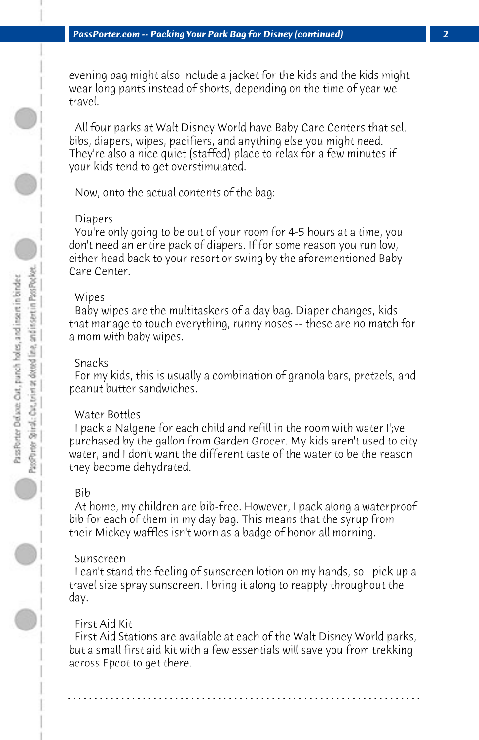evening bag might also include a jacket for the kids and the kids might wear long pants instead of shorts, depending on the time of year we travel.

 All four parks at Walt Disney World have Baby Care Centers that sell bibs, diapers, wipes, pacifiers, and anything else you might need. They're also a nice quiet (staffed) place to relax for a few minutes if your kids tend to get overstimulated.

 Now, onto the actual contents of the bag:

## Diapers

 You're only going to be out of your room for 4-5 hours at a time, you don't need an entire pack of diapers. If for some reason you run low, either head back to your resort or swing by the aforementioned Baby Care Center.

### Wipes

 Baby wipes are the multitaskers of a day bag. Diaper changes, kids that manage to touch everything, runny noses -- these are no match for a mom with baby wipes.

## Snacks

 For my kids, this is usually a combination of granola bars, pretzels, and peanut butter sandwiches.

# Water Bottles

 I pack a Nalgene for each child and refill in the room with water I';ve purchased by the gallon from Garden Grocer. My kids aren't used to city water, and I don't want the different taste of the water to be the reason they become dehydrated.

#### Bib

 At home, my children are bib-free. However, I pack along a waterproof bib for each of them in my day bag. This means that the syrup from their Mickey waffles isn't worn as a badge of honor all morning.

## Sunscreen

 I can't stand the feeling of sunscreen lotion on my hands, so I pick up a travel size spray sunscreen. I bring it along to reapply throughout the day.

# First Aid Kit

 First Aid Stations are available at each of the Walt Disney World parks, but a small first aid kit with a few essentials will save you from trekking across Epcot to get there.

**. . . . . . . . . . . . . . . . . . . . . . . . . . . . . . . . . . . . . . . . . . . . . . . . . . . . . . . . . . . . . . . . . .**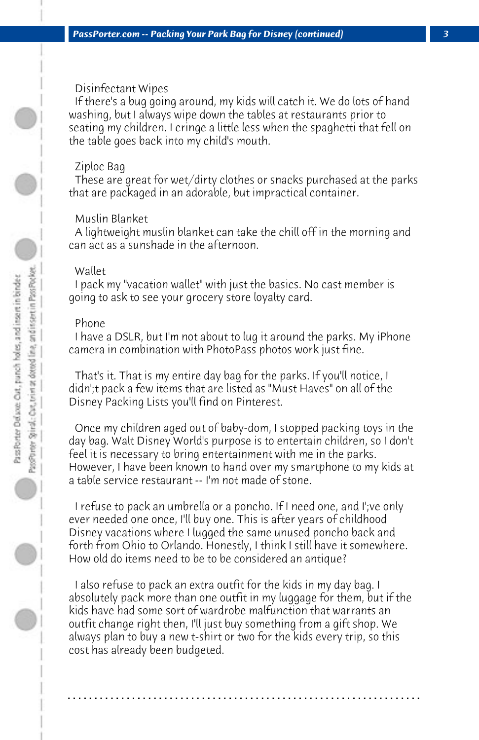# Disinfectant Wipes

 If there's a bug going around, my kids will catch it. We do lots of hand washing, but I always wipe down the tables at restaurants prior to seating my children. I cringe a little less when the spaghetti that fell on the table goes back into my child's mouth.

## Ziploc Bag

 These are great for wet/dirty clothes or snacks purchased at the parks that are packaged in an adorable, but impractical container.

# Muslin Blanket

 A lightweight muslin blanket can take the chill off in the morning and can act as a sunshade in the afternoon.

# Wallet

 I pack my "vacation wallet" with just the basics. No cast member is going to ask to see your grocery store loyalty card.

# Phone

 I have a DSLR, but I'm not about to lug it around the parks. My iPhone camera in combination with PhotoPass photos work just fine.

 That's it. That is my entire day bag for the parks. If you'll notice, I didn';t pack a few items that are listed as "Must Haves" on all of the Disney Packing Lists you'll find on Pinterest.

 Once my children aged out of baby-dom, I stopped packing toys in the day bag. Walt Disney World's purpose is to entertain children, so I don't feel it is necessary to bring entertainment with me in the parks. However, I have been known to hand over my smartphone to my kids at a table service restaurant -- I'm not made of stone.

 I refuse to pack an umbrella or a poncho. If I need one, and I';ve only ever needed one once, I'll buy one. This is after years of childhood Disney vacations where I lugged the same unused poncho back and forth from Ohio to Orlando. Honestly, I think I still have it somewhere. How old do items need to be to be considered an antique?

 I also refuse to pack an extra outfit for the kids in my day bag. I absolutely pack more than one outfit in my luggage for them, but if the kids have had some sort of wardrobe malfunction that warrants an outfit change right then, I'll just buy something from a gift shop. We always plan to buy a new t-shirt or two for the kids every trip, so this cost has already been budgeted.

**. . . . . . . . . . . . . . . . . . . . . . . . . . . . . . . . . . . . . . . . . . . . . . . . . . . . . . . . . . . . . . . . . .**